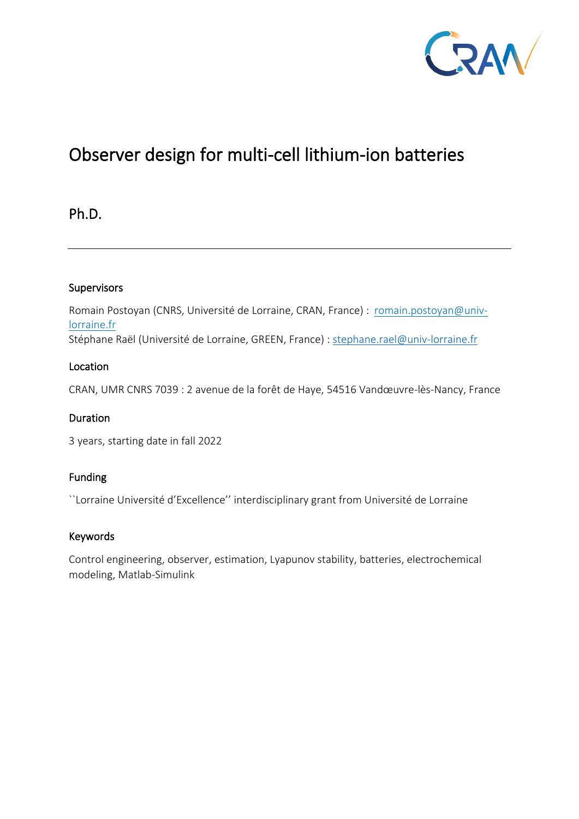

# Observer design for multi-cell lithium-ion batteries

Ph.D.

## Supervisors

Romain Postoyan (CNRS, Université de Lorraine, CRAN, France) : [romain.postoyan@univ](mailto:romain.postoyan@univ-lorraine.fr)[lorraine.fr](mailto:romain.postoyan@univ-lorraine.fr)  Stéphane Raël (Université de Lorraine, GREEN, France) : [stephane.rael@univ-lorraine.fr](mailto:stephane.rael@univ-lorraine.fr)

## Location

CRAN, UMR CNRS 7039 : 2 avenue de la forêt de Haye, 54516 Vandœuvre-lès-Nancy, France

# **Duration**

3 years, starting date in fall 2022

# Funding

``Lorraine Université d'Excellence'' interdisciplinary grant from Université de Lorraine

#### Keywords

Control engineering, observer, estimation, Lyapunov stability, batteries, electrochemical modeling, Matlab-Simulink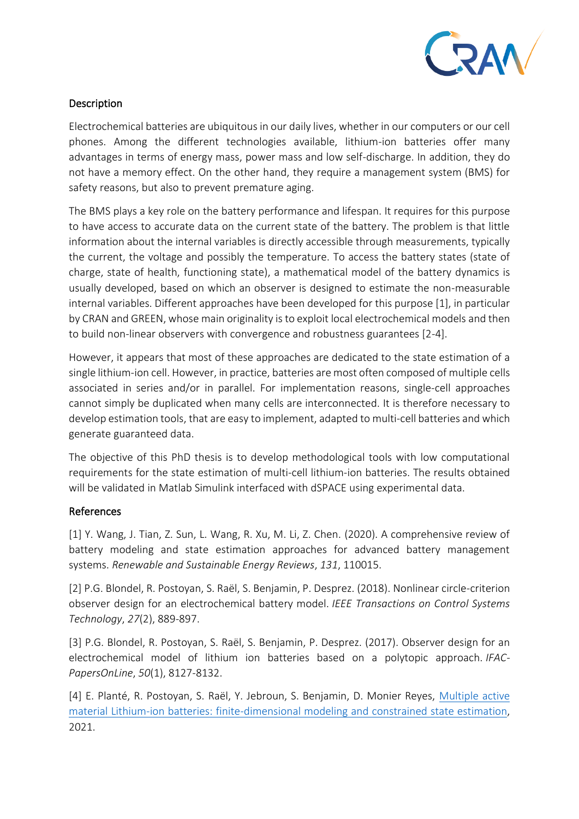

## Description

Electrochemical batteries are ubiquitous in our daily lives, whether in our computers or our cell phones. Among the different technologies available, lithium-ion batteries offer many advantages in terms of energy mass, power mass and low self-discharge. In addition, they do not have a memory effect. On the other hand, they require a management system (BMS) for safety reasons, but also to prevent premature aging.

The BMS plays a key role on the battery performance and lifespan. It requires for this purpose to have access to accurate data on the current state of the battery. The problem is that little information about the internal variables is directly accessible through measurements, typically the current, the voltage and possibly the temperature. To access the battery states (state of charge, state of health, functioning state), a mathematical model of the battery dynamics is usually developed, based on which an observer is designed to estimate the non-measurable internal variables. Different approaches have been developed for this purpose [1], in particular by CRAN and GREEN, whose main originality is to exploit local electrochemical models and then to build non-linear observers with convergence and robustness guarantees [2-4].

However, it appears that most of these approaches are dedicated to the state estimation of a single lithium-ion cell. However, in practice, batteries are most often composed of multiple cells associated in series and/or in parallel. For implementation reasons, single-cell approaches cannot simply be duplicated when many cells are interconnected. It is therefore necessary to develop estimation tools, that are easy to implement, adapted to multi-cell batteries and which generate guaranteed data.

The objective of this PhD thesis is to develop methodological tools with low computational requirements for the state estimation of multi-cell lithium-ion batteries. The results obtained will be validated in Matlab Simulink interfaced with dSPACE using experimental data.

#### References

[1] Y. Wang, J. Tian, Z. Sun, L. Wang, R. Xu, M. Li, Z. Chen. (2020). A comprehensive review of battery modeling and state estimation approaches for advanced battery management systems. *Renewable and Sustainable Energy Reviews*, *131*, 110015.

[2] P.G. Blondel, R. Postoyan, S. Raël, S. Benjamin, P. Desprez. (2018). Nonlinear circle-criterion observer design for an electrochemical battery model. *IEEE Transactions on Control Systems Technology*, *27*(2), 889-897.

[3] P.G. Blondel, R. Postoyan, S. Raël, S. Benjamin, P. Desprez. (2017). Observer design for an electrochemical model of lithium ion batteries based on a polytopic approach. *IFAC-PapersOnLine*, *50*(1), 8127-8132.

[4] E. Planté, R. Postoyan, S. Raël, Y. Jebroun, S. Benjamin, D. Monier Reyes, [Multiple active](https://www.google.com/url?q=https%3A%2F%2Fhal.archives-ouvertes.fr%2Fhal-03419660%2Fdocument&sa=D&sntz=1&usg=AFQjCNFaG8BHhEmiAa98w2oazGsTr5eoyw)  [material Lithium-ion batteries: finite-dimensional modeling and constrained state estimation,](https://www.google.com/url?q=https%3A%2F%2Fhal.archives-ouvertes.fr%2Fhal-03419660%2Fdocument&sa=D&sntz=1&usg=AFQjCNFaG8BHhEmiAa98w2oazGsTr5eoyw) 2021.